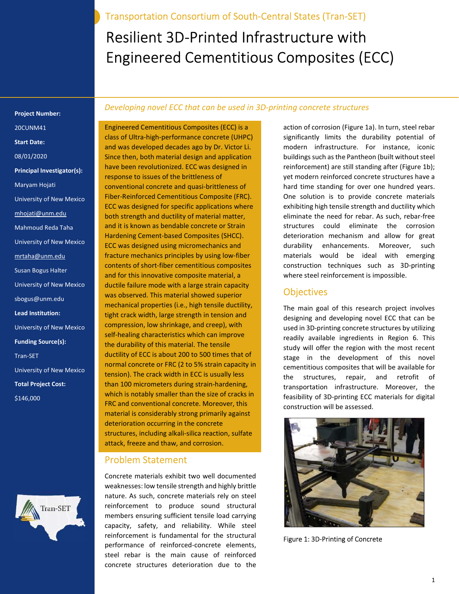Transportation Consortium of South-Central States (Tran-SET)

# Resilient 3D-Printed Infrastructure with Engineered Cementitious Composites (ECC)

Project Number: 20CUNM41 Start Date: 08/01/2020 Principal Investigator(s): Maryam Hojati University of New Mexico mhojati@unm.edu Mahmoud Reda Taha University of New Mexico mrtaha@unm.edu Susan Bogus Halter University of New Mexico sbogus@unm.edu Lead Institution: University of New Mexico Funding Source(s): Tran-SET University of New Mexico Total Project Cost: \$146,000



#### Developing novel ECC that can be used in 3D-printing concrete structures

Engineered Cementitious Composites (ECC) is a class of Ultra-high-performance concrete (UHPC) and was developed decades ago by Dr. Victor Li. Since then, both material design and application have been revolutionized. ECC was designed in response to issues of the brittleness of conventional concrete and quasi-brittleness of Fiber-Reinforced Cementitious Composite (FRC). ECC was designed for specific applications where both strength and ductility of material matter, and it is known as bendable concrete or Strain Hardening Cement-based Composites (SHCC). ECC was designed using micromechanics and fracture mechanics principles by using low-fiber contents of short-fiber cementitious composites and for this innovative composite material, a ductile failure mode with a large strain capacity was observed. This material showed superior mechanical properties (i.e., high tensile ductility, tight crack width, large strength in tension and compression, low shrinkage, and creep), with self-healing characteristics which can improve the durability of this material. The tensile ductility of ECC is about 200 to 500 times that of normal concrete or FRC (2 to 5% strain capacity in tension). The crack width in ECC is usually less than 100 micrometers during strain-hardening, which is notably smaller than the size of cracks in FRC and conventional concrete. Moreover, this material is considerably strong primarily against deterioration occurring in the concrete structures, including alkali-silica reaction, sulfate attack, freeze and thaw, and corrosion.

### Problem Statement

Concrete materials exhibit two well documented weaknesses: low tensile strength and highly brittle nature. As such, concrete materials rely on steel reinforcement to produce sound structural members ensuring sufficient tensile load carrying capacity, safety, and reliability. While steel reinforcement is fundamental for the structural performance of reinforced-concrete elements, steel rebar is the main cause of reinforced concrete structures deterioration due to the

action of corrosion (Figure 1a). In turn, steel rebar significantly limits the durability potential of modern infrastructure. For instance, iconic buildings such as the Pantheon (built without steel reinforcement) are still standing after (Figure 1b); yet modern reinforced concrete structures have a hard time standing for over one hundred years. One solution is to provide concrete materials exhibiting high tensile strength and ductility which eliminate the need for rebar. As such, rebar-free structures could eliminate the corrosion deterioration mechanism and allow for great durability enhancements. Moreover, such materials would be ideal with emerging construction techniques such as 3D-printing where steel reinforcement is impossible.

### **Objectives**

The main goal of this research project involves designing and developing novel ECC that can be used in 3D-printing concrete structures by utilizing readily available ingredients in Region 6. This study will offer the region with the most recent stage in the development of this novel cementitious composites that will be available for the structures, repair, and retrofit of transportation infrastructure. Moreover, the feasibility of 3D-printing ECC materials for digital construction will be assessed.



Figure 1: 3D-Printing of Concrete